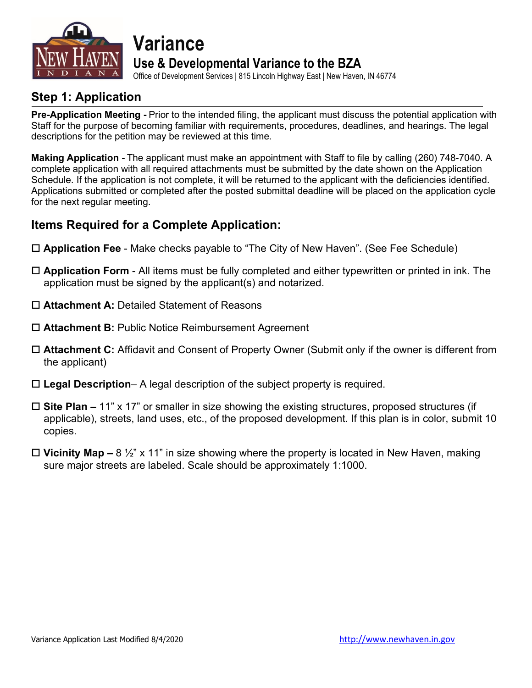

## **Variance Use & Developmental Variance to the BZA**

Office of Development Services | 815 Lincoln Highway East | New Haven, IN 46774

### **Step 1: Application**

**Pre-Application Meeting -** Prior to the intended filing, the applicant must discuss the potential application with Staff for the purpose of becoming familiar with requirements, procedures, deadlines, and hearings. The legal descriptions for the petition may be reviewed at this time.

**Making Application -** The applicant must make an appointment with Staff to file by calling (260) 748-7040. A complete application with all required attachments must be submitted by the date shown on the Application Schedule. If the application is not complete, it will be returned to the applicant with the deficiencies identified. Applications submitted or completed after the posted submittal deadline will be placed on the application cycle for the next regular meeting.

### **Items Required for a Complete Application:**

- **Application Fee** Make checks payable to "The City of New Haven". (See Fee Schedule)
- **Application Form** All items must be fully completed and either typewritten or printed in ink. The application must be signed by the applicant(s) and notarized.
- **Attachment A:** Detailed Statement of Reasons
- **Attachment B:** Public Notice Reimbursement Agreement
- **Attachment C:** Affidavit and Consent of Property Owner (Submit only if the owner is different from the applicant)
- **Legal Description** A legal description of the subject property is required.
- **Site Plan –** 11" x 17" or smaller in size showing the existing structures, proposed structures (if applicable), streets, land uses, etc., of the proposed development. If this plan is in color, submit 10 copies.
- **Vicinity Map –** 8 ½" x 11" in size showing where the property is located in New Haven, making sure major streets are labeled. Scale should be approximately 1:1000.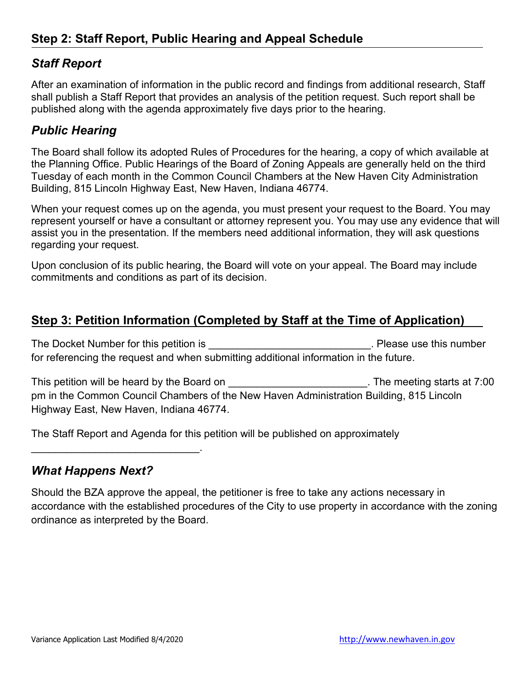### *Staff Report*

After an examination of information in the public record and findings from additional research, Staff shall publish a Staff Report that provides an analysis of the petition request. Such report shall be published along with the agenda approximately five days prior to the hearing.

### *Public Hearing*

The Board shall follow its adopted Rules of Procedures for the hearing, a copy of which available at the Planning Office. Public Hearings of the Board of Zoning Appeals are generally held on the third Tuesday of each month in the Common Council Chambers at the New Haven City Administration Building, 815 Lincoln Highway East, New Haven, Indiana 46774.

When your request comes up on the agenda, you must present your request to the Board. You may represent yourself or have a consultant or attorney represent you. You may use any evidence that will assist you in the presentation. If the members need additional information, they will ask questions regarding your request.

Upon conclusion of its public hearing, the Board will vote on your appeal. The Board may include commitments and conditions as part of its decision.

### **Step 3: Petition Information (Completed by Staff at the Time of Application)**

The Docket Number for this petition is **The Docket Number** of this number for referencing the request and when submitting additional information in the future.

This petition will be heard by the Board on **EXALL CONDUCTS** The meeting starts at 7:00 pm in the Common Council Chambers of the New Haven Administration Building, 815 Lincoln Highway East, New Haven, Indiana 46774.

The Staff Report and Agenda for this petition will be published on approximately

### *What Happens Next?*

\_\_\_\_\_\_\_\_\_\_\_\_\_\_\_\_\_\_\_\_\_\_\_\_\_\_\_\_\_.

Should the BZA approve the appeal, the petitioner is free to take any actions necessary in accordance with the established procedures of the City to use property in accordance with the zoning ordinance as interpreted by the Board.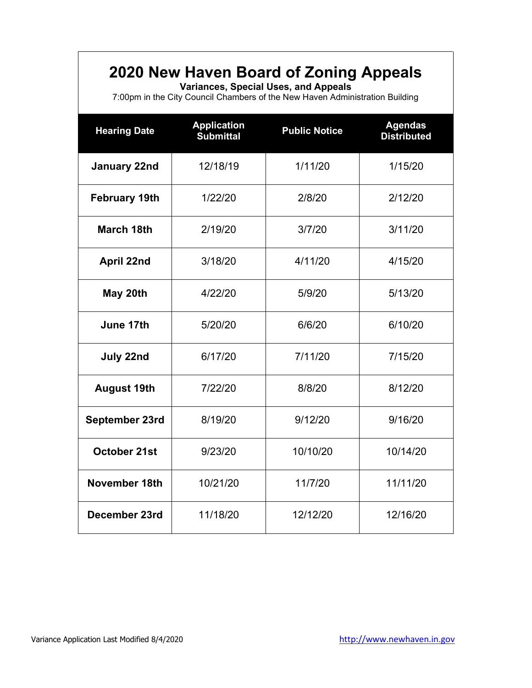# **2020 New Haven Board of Zoning Appeals**

**Variances, Special Uses, and Appeals**

7:00pm in the City Council Chambers of the New Haven Administration Building

| <b>Hearing Date</b>  | <b>Application</b><br><b>Submittal</b> | <b>Public Notice</b> | <b>Agendas</b><br><b>Distributed</b> |  |
|----------------------|----------------------------------------|----------------------|--------------------------------------|--|
| January 22nd         | 12/18/19                               | 1/11/20              | 1/15/20                              |  |
| <b>February 19th</b> | 1/22/20                                | 2/8/20               | 2/12/20                              |  |
| <b>March 18th</b>    | 2/19/20<br>3/7/20                      |                      | 3/11/20                              |  |
| April 22nd           | 4/11/20<br>3/18/20                     |                      | 4/15/20                              |  |
| May 20th             | 4/22/20                                | 5/9/20               | 5/13/20                              |  |
| June 17th            | 5/20/20<br>6/6/20                      |                      | 6/10/20                              |  |
| July 22nd            | 6/17/20                                | 7/11/20              | 7/15/20                              |  |
| <b>August 19th</b>   | 7/22/20                                | 8/8/20               | 8/12/20                              |  |
| September 23rd       | 8/19/20                                | 9/12/20              | 9/16/20                              |  |
| October 21st         | 9/23/20                                | 10/10/20             | 10/14/20                             |  |
| November 18th        | 10/21/20                               | 11/7/20              | 11/11/20                             |  |
| December 23rd        | 11/18/20                               | 12/12/20             | 12/16/20                             |  |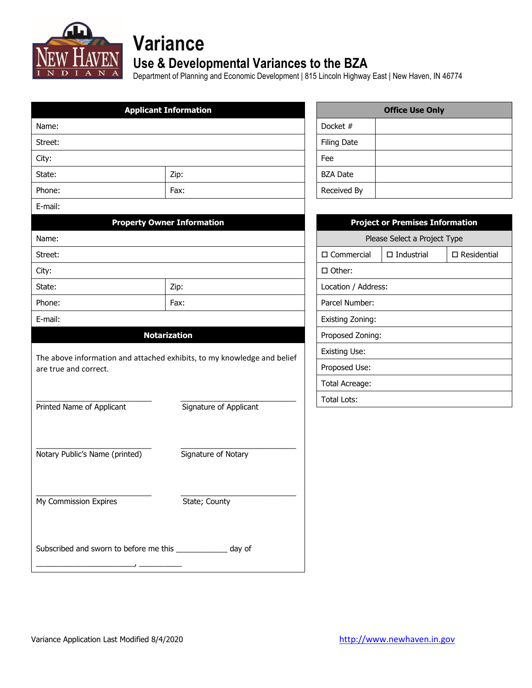

# **Variance**

### **Use & Developmental Variances to the BZA**

Department of Planning and Economic Development | 815 Lincoln Highway East | New Haven, IN 46774

| <b>Applicant Information</b>                                                                     |                                   | <b>Office Use Only</b>       |                                        |                       |  |
|--------------------------------------------------------------------------------------------------|-----------------------------------|------------------------------|----------------------------------------|-----------------------|--|
| Name:                                                                                            |                                   | Docket #                     |                                        |                       |  |
| Street:                                                                                          |                                   | <b>Filing Date</b>           |                                        |                       |  |
| City:                                                                                            |                                   | Fee                          |                                        |                       |  |
| State:                                                                                           | Zip:                              | <b>BZA Date</b>              |                                        |                       |  |
| Phone:                                                                                           | Fax:                              | Received By                  |                                        |                       |  |
| E-mail:                                                                                          |                                   |                              |                                        |                       |  |
|                                                                                                  | <b>Property Owner Information</b> |                              | <b>Project or Premises Information</b> |                       |  |
| Name:                                                                                            |                                   | Please Select a Project Type |                                        |                       |  |
| Street:                                                                                          |                                   | $\square$ Commercial         | $\Box$ Industrial                      | $\square$ Residential |  |
| City:                                                                                            |                                   | □ Other:                     |                                        |                       |  |
| State:                                                                                           | Zip:                              | Location / Address:          |                                        |                       |  |
| Phone:                                                                                           | Fax:                              | Parcel Number:               |                                        |                       |  |
| E-mail:                                                                                          |                                   | Existing Zoning:             |                                        |                       |  |
|                                                                                                  | <b>Notarization</b>               | Proposed Zoning:             |                                        |                       |  |
|                                                                                                  |                                   | <b>Existing Use:</b>         |                                        |                       |  |
| The above information and attached exhibits, to my knowledge and belief<br>are true and correct. |                                   | Proposed Use:                |                                        |                       |  |
|                                                                                                  |                                   | Total Acreage:               |                                        |                       |  |
|                                                                                                  |                                   | <b>Total Lots:</b>           |                                        |                       |  |
| Printed Name of Applicant                                                                        | Signature of Applicant            |                              |                                        |                       |  |
|                                                                                                  |                                   |                              |                                        |                       |  |
| Notary Public's Name (printed)                                                                   | Signature of Notary               |                              |                                        |                       |  |
|                                                                                                  |                                   |                              |                                        |                       |  |
|                                                                                                  |                                   |                              |                                        |                       |  |
| My Commission Expires                                                                            | State; County                     |                              |                                        |                       |  |
|                                                                                                  |                                   |                              |                                        |                       |  |
|                                                                                                  |                                   |                              |                                        |                       |  |
| Subscribed and sworn to before me this ______________ day of                                     |                                   |                              |                                        |                       |  |
|                                                                                                  |                                   |                              |                                        |                       |  |

|                    | <b>Office Use Only</b> |
|--------------------|------------------------|
| Docket #           |                        |
| <b>Filing Date</b> |                        |
| Fee                |                        |
| <b>BZA Date</b>    |                        |
| Received By        |                        |

| <b>Project or Premises Information</b> |                   |                    |  |
|----------------------------------------|-------------------|--------------------|--|
| Please Select a Project Type           |                   |                    |  |
| □ Commercial                           | $\Box$ Industrial | $\Box$ Residential |  |
| □ Other:                               |                   |                    |  |
| Location / Address:                    |                   |                    |  |
| Parcel Number:                         |                   |                    |  |
| Existing Zoning:                       |                   |                    |  |
| Proposed Zoning:                       |                   |                    |  |
| Existing Use:                          |                   |                    |  |
| Proposed Use:                          |                   |                    |  |
| Total Acreage:                         |                   |                    |  |
| Total Lots:                            |                   |                    |  |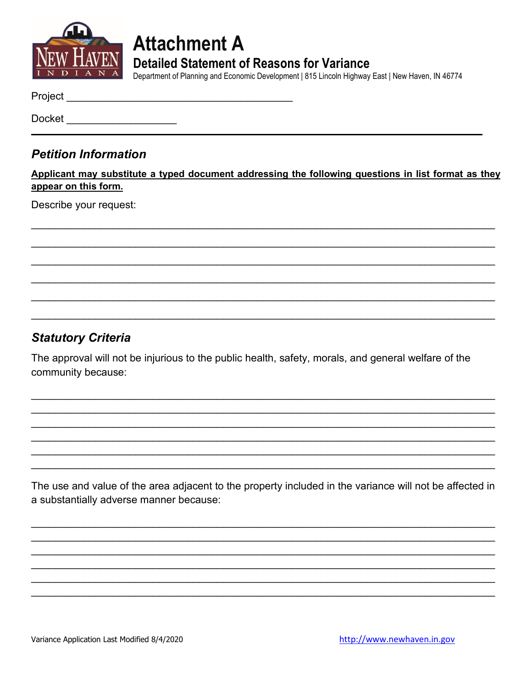

# **Attachment A Detailed Statement of Reasons for Variance**

Department of Planning and Economic Development | 815 Lincoln Highway East | New Haven, IN 46774

Project **Example 2018** 

Docket \_\_\_\_\_\_\_\_\_\_\_\_\_\_\_\_\_

### **Petition Information**

Applicant may substitute a typed document addressing the following questions in list format as they appear on this form.

Describe your request:

### **Statutory Criteria**

The approval will not be injurious to the public health, safety, morals, and general welfare of the community because:

The use and value of the area adjacent to the property included in the variance will not be affected in a substantially adverse manner because: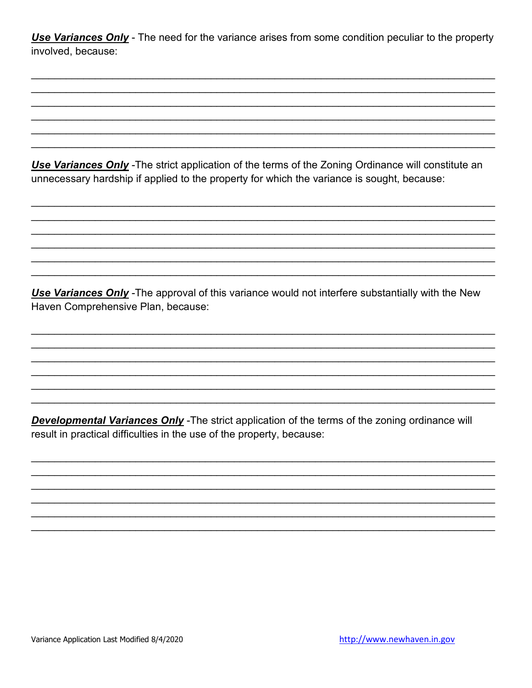**Use Variances Only** - The need for the variance arises from some condition peculiar to the property involved, because:

Use Variances Only - The strict application of the terms of the Zoning Ordinance will constitute an unnecessary hardship if applied to the property for which the variance is sought, because:

Use Variances Only - The approval of this variance would not interfere substantially with the New Haven Comprehensive Plan, because:

**Developmental Variances Only** - The strict application of the terms of the zoning ordinance will result in practical difficulties in the use of the property, because: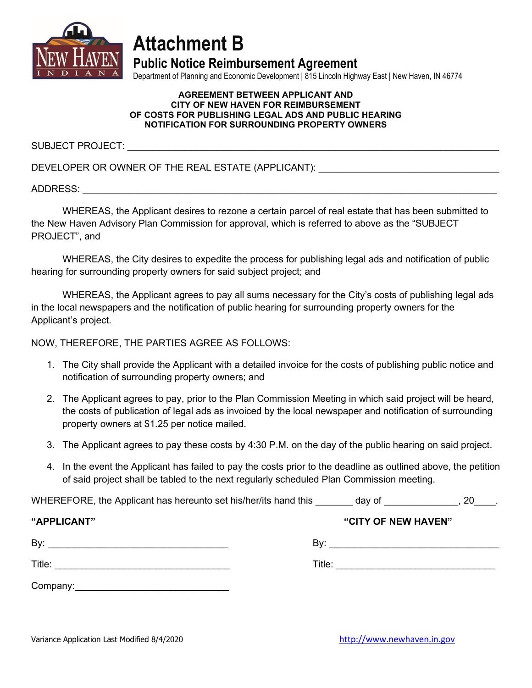

# **Attachment B**

**Public Notice Reimbursement Agreement**

Department of Planning and Economic Development | 815 Lincoln Highway East | New Haven, IN 46774

#### **AGREEMENT BETWEEN APPLICANT AND CITY OF NEW HAVEN FOR REIMBURSEMENT OF COSTS FOR PUBLISHING LEGAL ADS AND PUBLIC HEARING NOTIFICATION FOR SURROUNDING PROPERTY OWNERS**

SUBJECT PROJECT:

DEVELOPER OR OWNER OF THE REAL ESTATE (APPLICANT):

ADDRESS: \_\_\_\_\_\_\_\_\_\_\_\_\_\_\_\_\_\_\_\_\_\_\_\_\_\_\_\_\_\_\_\_\_\_\_\_\_\_\_\_\_\_\_\_\_\_\_\_\_\_\_\_\_\_\_\_\_\_\_\_\_\_\_\_\_\_\_\_\_\_\_\_\_\_\_\_\_\_

WHEREAS, the Applicant desires to rezone a certain parcel of real estate that has been submitted to the New Haven Advisory Plan Commission for approval, which is referred to above as the "SUBJECT PROJECT", and

WHEREAS, the City desires to expedite the process for publishing legal ads and notification of public hearing for surrounding property owners for said subject project; and

WHEREAS, the Applicant agrees to pay all sums necessary for the City's costs of publishing legal ads in the local newspapers and the notification of public hearing for surrounding property owners for the Applicant's project.

NOW, THEREFORE, THE PARTIES AGREE AS FOLLOWS:

- 1. The City shall provide the Applicant with a detailed invoice for the costs of publishing public notice and notification of surrounding property owners; and
- 2. The Applicant agrees to pay, prior to the Plan Commission Meeting in which said project will be heard, the costs of publication of legal ads as invoiced by the local newspaper and notification of surrounding property owners at \$1.25 per notice mailed.
- 3. The Applicant agrees to pay these costs by 4:30 P.M. on the day of the public hearing on said project.
- 4. In the event the Applicant has failed to pay the costs prior to the deadline as outlined above, the petition of said project shall be tabled to the next regularly scheduled Plan Commission meeting.

WHEREFORE, the Applicant has hereunto set his/her/its hand this day of the same set of the set of the set of the set of the set of the set of the set of the set of the set of the set of the set of the set of the set of the

| "APPLICANT" | "CITY OF NEW HAVEN" |
|-------------|---------------------|
| By:         | By:                 |
| Title:      | Title:              |
| Company:    |                     |

Variance Application Last Modified 8/4/2020 [http://www.newhaven.in.gov](http://www.newhaven.in.gov/)